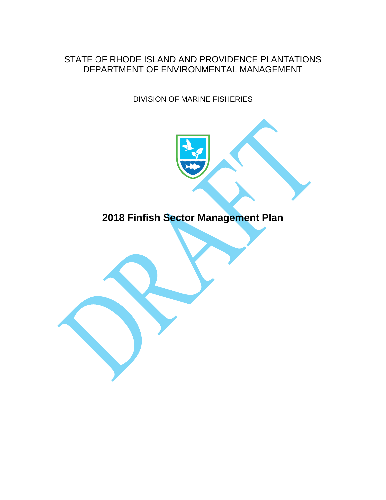#### STATE OF RHODE ISLAND AND PROVIDENCE PLANTATIONS DEPARTMENT OF ENVIRONMENTAL MANAGEMENT

DIVISION OF MARINE FISHERIES

# **2018 Finfish Sector Management Plan**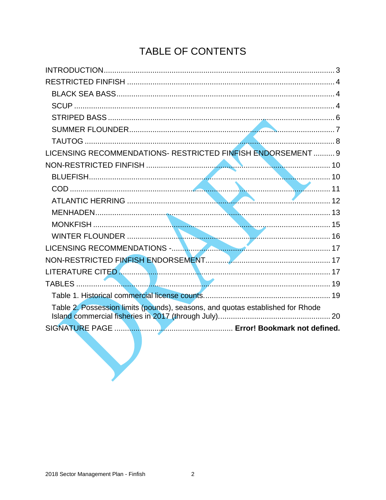# TABLE OF CONTENTS

| LICENSING RECOMMENDATIONS- RESTRICTED FINFISH ENDORSEMENT  9                   |
|--------------------------------------------------------------------------------|
|                                                                                |
|                                                                                |
|                                                                                |
|                                                                                |
|                                                                                |
|                                                                                |
|                                                                                |
| LICENSING RECOMMENDATIONS - NATIONAL CONTINUES AND THE RESERVE TO A 17         |
|                                                                                |
|                                                                                |
|                                                                                |
|                                                                                |
| Table 2. Possession limits (pounds), seasons, and quotas established for Rhode |
|                                                                                |
|                                                                                |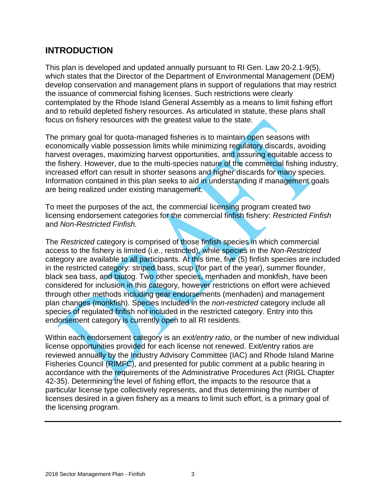#### <span id="page-2-0"></span>**INTRODUCTION**

This plan is developed and updated annually pursuant to RI Gen. Law 20-2.1-9(5), which states that the Director of the Department of Environmental Management (DEM) develop conservation and management plans in support of regulations that may restrict the issuance of commercial fishing licenses. Such restrictions were clearly contemplated by the Rhode Island General Assembly as a means to limit fishing effort and to rebuild depleted fishery resources. As articulated in statute, these plans shall focus on fishery resources with the greatest value to the state.

The primary goal for quota-managed fisheries is to maintain open seasons with economically viable possession limits while minimizing regulatory discards, avoiding harvest overages, maximizing harvest opportunities, and assuring equitable access to the fishery. However, due to the multi-species nature of the commercial fishing industry, increased effort can result in shorter seasons and higher discards for many species. Information contained in this plan seeks to aid in understanding if management goals are being realized under existing management.

To meet the purposes of the act, the commercial licensing program created two licensing endorsement categories for the commercial finfish fishery: *Restricted Finfish* and *Non-Restricted Finfish.*

The *Restricted* category is comprised of those finfish species in which commercial access to the fishery is limited (i.e., restricted), while species in the *Non-Restricted*  category are available to all participants. At this time, five (5) finfish species are included in the restricted category: striped bass, scup (for part of the year), summer flounder, black sea bass, and tautog. Two other species, menhaden and monkfish, have been considered for inclusion in this category, however restrictions on effort were achieved through other methods including gear endorsements (menhaden) and management plan changes (monkfish). Species included in the *non-restricted* category include all species of regulated finfish not included in the restricted category. Entry into this endorsement category is currently open to all RI residents.

Within each endorsement category is an *exit/entry ratio*, or the number of new individual license opportunities provided for each license not renewed. Exit/entry ratios are reviewed annually by the Industry Advisory Committee (IAC) and Rhode Island Marine Fisheries Council (RIMFC), and presented for public comment at a public hearing in accordance with the requirements of the Administrative Procedures Act (RIGL Chapter 42-35). Determining the level of fishing effort, the impacts to the resource that a particular license type collectively represents, and thus determining the number of licenses desired in a given fishery as a means to limit such effort, is a primary goal of the licensing program.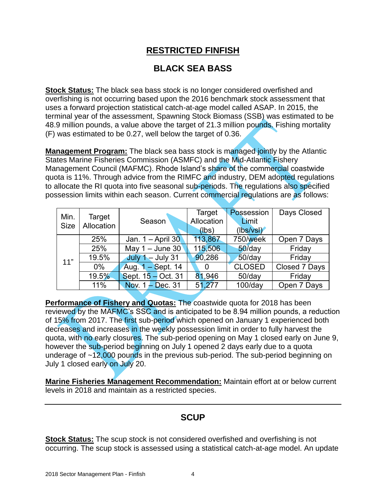#### **RESTRICTED FINFISH**

#### <span id="page-3-1"></span>**BLACK SEA BASS**

<span id="page-3-0"></span>**Stock Status:** The black sea bass stock is no longer considered overfished and overfishing is not occurring based upon the 2016 benchmark stock assessment that uses a forward projection statistical catch-at-age model called ASAP. In 2015, the terminal year of the assessment, Spawning Stock Biomass (SSB) was estimated to be 48.9 million pounds, a value above the target of 21.3 million pounds. Fishing mortality (F) was estimated to be 0.27, well below the target of 0.36.

**Management Program:** The black sea bass stock is managed jointly by the Atlantic States Marine Fisheries Commission (ASMFC) and the Mid-Atlantic Fishery Management Council (MAFMC). Rhode Island's share of the commercial coastwide quota is 11%. Through advice from the RIMFC and industry, DEM adopted regulations to allocate the RI quota into five seasonal sub-periods. The regulations also specified possession limits within each season. Current commercial regulations are as follows:

| Min.        | Target     |                     | Target     | Possession            | Days Closed   |
|-------------|------------|---------------------|------------|-----------------------|---------------|
|             | Allocation | Season              | Allocation | Limit                 |               |
| <b>Size</b> |            |                     | (lbs)      | $(\mathsf{lbs/vsl})'$ |               |
|             | 25%        | Jan. 1 – April 30   | 113,867    | 750/week              | Open 7 Days   |
|             | 25%        | May $1 -$ June 30   | 115,506    | $50$ /day             | Friday        |
| 11"         | 19.5%      | July $1 -$ July 31  | 90,286     | $50$ /day             | Friday        |
|             | $0\%$      | Aug. $1 -$ Sept. 14 |            | <b>CLOSED</b>         | Closed 7 Days |
|             | 19.5%      | Sept. 15 – Oct. 31  | 81,946     | $50$ /day             | Friday        |
|             | 11%        | Nov. $1 - Dec. 31$  | 51,277     | $100$ /day            | Open 7 Days   |

**Performance of Fishery and Quotas:** The coastwide quota for 2018 has been reviewed by the MAFMC's SSC and is anticipated to be 8.94 million pounds, a reduction of 15% from 2017. The first sub-period which opened on January 1 experienced both decreases and increases in the weekly possession limit in order to fully harvest the quota, with no early closures. The sub-period opening on May 1 closed early on June 9, however the sub-period beginning on July 1 opened 2 days early due to a quota underage of ~12,000 pounds in the previous sub-period. The sub-period beginning on July 1 closed early on July 20.

<span id="page-3-2"></span>**Marine Fisheries Management Recommendation:** Maintain effort at or below current levels in 2018 and maintain as a restricted species.

## **SCUP**

**Stock Status:** The scup stock is not considered overfished and overfishing is not occurring. The scup stock is assessed using a statistical catch-at-age model. An update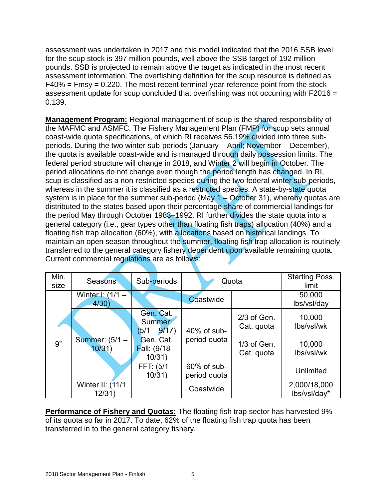assessment was undertaken in 2017 and this model indicated that the 2016 SSB level for the scup stock is 397 million pounds, well above the SSB target of 192 million pounds. SSB is projected to remain above the target as indicated in the most recent assessment information. The overfishing definition for the scup resource is defined as  $F40\%$  = Fmsy = 0.220. The most recent terminal year reference point from the stock assessment update for scup concluded that overfishing was not occurring with F2016 = 0.139.

**Management Program:** Regional management of scup is the shared responsibility of the MAFMC and ASMFC. The Fishery Management Plan (FMP) for scup sets annual coast-wide quota specifications, of which RI receives 56.19% divided into three subperiods. During the two winter sub-periods (January – April; November – December), the quota is available coast-wide and is managed through daily possession limits. The federal period structure will change in 2018, and Winter 2 will begin in October. The period allocations do not change even though the period length has changed. In RI, scup is classified as a non-restricted species during the two federal winter sub-periods, whereas in the summer it is classified as a restricted species. A state-by-state quota system is in place for the summer sub-period (May  $1 -$  October 31), whereby quotas are distributed to the states based upon their percentage share of commercial landings for the period May through October 1983–1992. RI further divides the state quota into a general category (i.e., gear types other than floating fish traps) allocation (40%) and a floating fish trap allocation (60%), with allocations based on historical landings. To maintain an open season throughout the summer, floating fish trap allocation is routinely transferred to the general category fishery dependent upon available remaining quota. Current commercial regulations are as follows:

| Min.<br>size | <b>Seasons</b>                       | Sub-periods                                   | Quota                          |                             | <b>Starting Poss.</b><br>limit |
|--------------|--------------------------------------|-----------------------------------------------|--------------------------------|-----------------------------|--------------------------------|
|              | Winter $\frac{1}{1}$ (1/1 –<br>4/30) |                                               | Coastwide                      |                             | 50,000<br>lbs/vsl/day          |
|              | Summer: (5/1 -<br>10/31)             | Gen. Cat.<br>Summer:<br>$5/1 - 9/17$          | 40% of sub-                    | $2/3$ of Gen.<br>Cat. quota | 10,000<br>lbs/vsl/wk           |
| 9"           |                                      | Gen. Cat.<br><b>Fall:</b> $(9/18 -$<br>10/31) | period quota                   | $1/3$ of Gen.<br>Cat. quota | 10,000<br>lbs/vsl/wk           |
|              |                                      | FFT: $(5/1 -$<br>10/31)                       | $60\%$ of sub-<br>period quota |                             | Unlimited                      |
|              | Winter II: (11/1<br>$-12/31$         |                                               | Coastwide                      |                             | 2,000/18,000<br>lbs/vsl/day*   |

**Performance of Fishery and Quotas:** The floating fish trap sector has harvested 9% of its quota so far in 2017. To date, 62% of the floating fish trap quota has been transferred in to the general category fishery.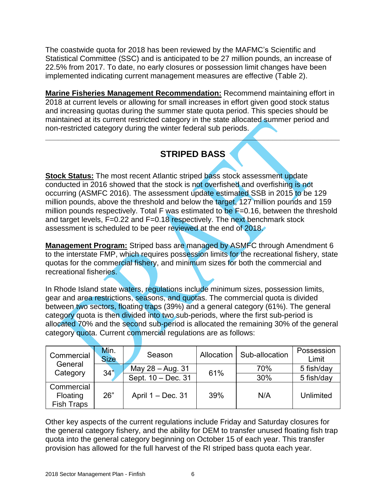The coastwide quota for 2018 has been reviewed by the MAFMC's Scientific and Statistical Committee (SSC) and is anticipated to be 27 million pounds, an increase of 22.5% from 2017. To date, no early closures or possession limit changes have been implemented indicating current management measures are effective (Table 2).

**Marine Fisheries Management Recommendation:** Recommend maintaining effort in 2018 at current levels or allowing for small increases in effort given good stock status and increasing quotas during the summer state quota period. This species should be maintained at its current restricted category in the state allocated summer period and non-restricted category during the winter federal sub periods.

## **STRIPED BASS**

<span id="page-5-0"></span>**\_\_\_\_\_\_\_\_\_\_\_\_\_\_\_\_\_\_\_\_\_\_\_\_\_\_\_\_\_\_\_\_\_\_\_\_\_\_\_\_\_\_\_\_\_\_\_\_\_\_\_\_\_\_\_\_\_\_\_\_\_\_\_\_\_\_\_\_\_\_**

**Stock Status:** The most recent Atlantic striped bass stock assessment update conducted in 2016 showed that the stock is not overfished and overfishing is not occurring (ASMFC 2016). The assessment update estimated SSB in 2015 to be 129 million pounds, above the threshold and below the target, 127 million pounds and 159 million pounds respectively. Total F was estimated to be  $F=0.16$ , between the threshold and target levels,  $F=0.22$  and  $F=0.18$  respectively. The next benchmark stock assessment is scheduled to be peer reviewed at the end of 2018.

**Management Program:** Striped bass are managed by ASMFC through Amendment 6 to the interstate FMP, which requires possession limits for the recreational fishery, state quotas for the commercial fishery, and minimum sizes for both the commercial and recreational fisheries.

In Rhode Island state waters, regulations include minimum sizes, possession limits, gear and area restrictions, seasons, and quotas. The commercial quota is divided between two sectors, floating traps (39%) and a general category (61%). The general category quota is then divided into two sub-periods, where the first sub-period is allocated 70% and the second sub-period is allocated the remaining 30% of the general category quota. Current commercial regulations are as follows:

| Commercial<br>General                | Min.<br><b>Size</b> | Season             | Allocation | Sub-allocation | Possession<br>Limit |
|--------------------------------------|---------------------|--------------------|------------|----------------|---------------------|
| Category                             | 34"                 | May 28 - Aug. 31   | 61%        | 70%            | 5 fish/day          |
|                                      |                     | Sept. 10 - Dec. 31 |            | 30%            | 5 fish/day          |
| Commercial<br>Floating<br>Fish Traps | 26"                 | April 1 – Dec. 31  | 39%        | N/A            | Unlimited           |

Other key aspects of the current regulations include Friday and Saturday closures for the general category fishery, and the ability for DEM to transfer unused floating fish trap quota into the general category beginning on October 15 of each year. This transfer provision has allowed for the full harvest of the RI striped bass quota each year.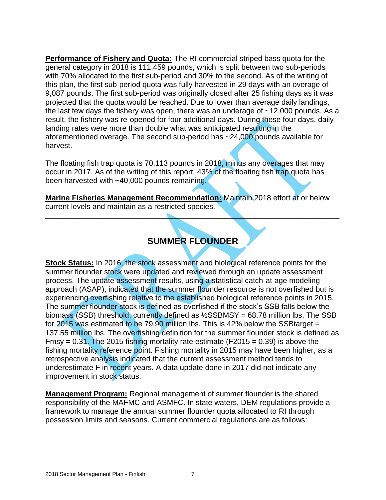**Performance of Fishery and Quota:** The RI commercial striped bass quota for the general category in 2018 is 111,459 pounds, which is split between two sub-periods with 70% allocated to the first sub-period and 30% to the second. As of the writing of this plan, the first sub-period quota was fully harvested in 29 days with an overage of 9,087 pounds. The first sub-period was originally closed after 25 fishing days as it was projected that the quota would be reached. Due to lower than average daily landings, the last few days the fishery was open, there was an underage of  $~12,000$  pounds. As a result, the fishery was re-opened for four additional days. During these four days, daily landing rates were more than double what was anticipated resulting in the aforementioned overage. The second sub-period has ~24,000 pounds available for harvest.

The floating fish trap quota is 70,113 pounds in 2018, minus any overages that may occur in 2017. As of the writing of this report, 43% of the floating fish trap quota has been harvested with ~40,000 pounds remaining.

**Marine Fisheries Management Recommendation:** Maintain 2018 effort at or below current levels and maintain as a restricted species.

### **SUMMER FLOUNDER**

<span id="page-6-0"></span>**\_\_\_\_\_\_\_\_\_\_\_\_\_\_\_\_\_\_\_\_\_\_\_\_\_\_\_\_\_\_\_\_\_\_\_\_\_\_\_\_\_\_\_\_\_\_\_\_\_\_\_\_\_\_\_\_\_\_\_\_\_\_\_\_\_\_\_\_\_\_**

**Stock Status:** In 2016, the stock assessment and biological reference points for the summer flounder stock were updated and reviewed through an update assessment process. The update assessment results, using a statistical catch-at-age modeling approach (ASAP), indicated that the summer flounder resource is not overfished but is experiencing overfishing relative to the established biological reference points in 2015. The summer flounder stock is defined as overfished if the stock's SSB falls below the biomass (SSB) threshold, currently defined as ½SSBMSY = 68.78 million lbs. The SSB for 2015 was estimated to be  $79.90$  million lbs. This is 42% below the SSB target = 137.55 million lbs. The overfishing definition for the summer flounder stock is defined as Fmsy =  $0.31$ . The 2015 fishing mortality rate estimate (F2015 =  $0.39$ ) is above the fishing mortality reference point. Fishing mortality in 2015 may have been higher, as a retrospective analysis indicated that the current assessment method tends to underestimate F in recent years. A data update done in 2017 did not indicate any improvement in stock status.

**Management Program:** Regional management of summer flounder is the shared responsibility of the MAFMC and ASMFC. In state waters, DEM regulations provide a framework to manage the annual summer flounder quota allocated to RI through possession limits and seasons. Current commercial regulations are as follows: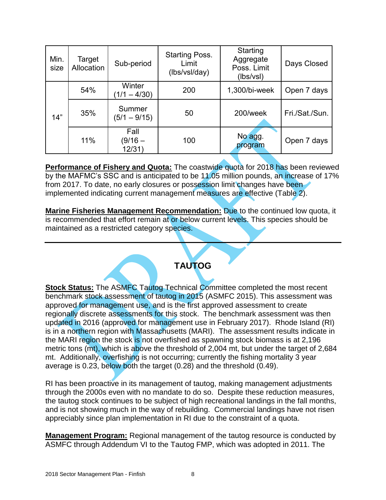| Min.<br>size | Target<br>Allocation | Sub-period                  | <b>Starting Poss.</b><br>Limit<br>(lbs/vsl/day) | Starting<br>Aggregate<br>Poss. Limit<br>(lbs/vsl) | Days Closed    |
|--------------|----------------------|-----------------------------|-------------------------------------------------|---------------------------------------------------|----------------|
|              | 54%                  | Winter<br>$(1/1 - 4/30)$    | 200                                             | 1,300/bi-week                                     | Open 7 days    |
| 14"          | 35%                  | Summer<br>$(5/1 - 9/15)$    | 50                                              | 200/week                                          | Fri./Sat./Sun. |
|              | 11%                  | Fall<br>$(9/16 -$<br>12/31) | 100                                             | No agg.<br>program                                | Open 7 days    |

**Performance of Fishery and Quota:** The coastwide quota for 2018 has been reviewed by the MAFMC's SSC and is anticipated to be 11.05 million pounds, an increase of 17% from 2017. To date, no early closures or possession limit changes have been implemented indicating current management measures are effective (Table 2).

**Marine Fisheries Management Recommendation:** Due to the continued low quota, it is recommended that effort remain at or below current levels. This species should be maintained as a restricted category species.

#### **TAUTOG**

<span id="page-7-0"></span>**Stock Status:** The ASMFC Tautog Technical Committee completed the most recent benchmark stock assessment of tautog in 2015 (ASMFC 2015). This assessment was approved for management use, and is the first approved assessment to create regionally discrete assessments for this stock. The benchmark assessment was then updated in 2016 (approved for management use in February 2017). Rhode Island (RI) is in a northern region with Massachusetts (MARI). The assessment results indicate in the MARI region the stock is not overfished as spawning stock biomass is at 2,196 metric tons (mt), which is above the threshold of 2,004 mt, but under the target of 2,684 mt. Additionally, overfishing is not occurring; currently the fishing mortality 3 year average is 0.23, below both the target (0.28) and the threshold (0.49).

RI has been proactive in its management of tautog, making management adjustments through the 2000s even with no mandate to do so. Despite these reduction measures, the tautog stock continues to be subject of high recreational landings in the fall months, and is not showing much in the way of rebuilding. Commercial landings have not risen appreciably since plan implementation in RI due to the constraint of a quota.

**Management Program:** Regional management of the tautog resource is conducted by ASMFC through Addendum VI to the Tautog FMP, which was adopted in 2011. The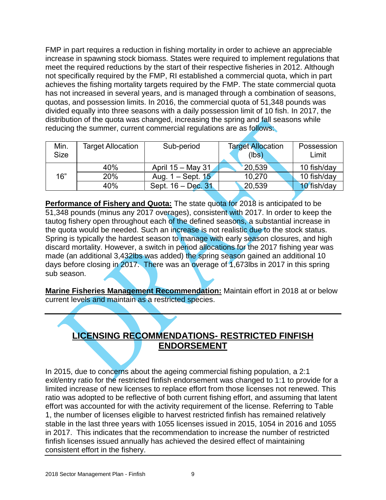FMP in part requires a reduction in fishing mortality in order to achieve an appreciable increase in spawning stock biomass. States were required to implement regulations that meet the required reductions by the start of their respective fisheries in 2012. Although not specifically required by the FMP, RI established a commercial quota, which in part achieves the fishing mortality targets required by the FMP. The state commercial quota has not increased in several years, and is managed through a combination of seasons, quotas, and possession limits. In 2016, the commercial quota of 51,348 pounds was divided equally into three seasons with a daily possession limit of 10 fish. In 2017, the distribution of the quota was changed, increasing the spring and fall seasons while reducing the summer, current commercial regulations are as follows:

| Min.<br><b>Size</b> | <b>Target Allocation</b> | Sub-period            | <b>Target Allocation</b><br>(lbs) | Possession<br>Limit |  |
|---------------------|--------------------------|-----------------------|-----------------------------------|---------------------|--|
|                     | 40%                      | April 15 - May 31     | 20,539                            | 10 fish/day         |  |
| 16"                 | 20%                      | Aug. $1 -$ Sept. $15$ | 10,270                            | 10 fish/day         |  |
|                     | 40%                      | Sept. 16 - Dec. 31    | 20,539                            | 10 fish/day         |  |

**Performance of Fishery and Quota:** The state quota for 2018 is anticipated to be 51,348 pounds (minus any 2017 overages), consistent with 2017. In order to keep the tautog fishery open throughout each of the defined seasons, a substantial increase in the quota would be needed. Such an increase is not realistic due to the stock status. Spring is typically the hardest season to manage with early season closures, and high discard mortality. However, a switch in period allocations for the 2017 fishing year was made (an additional 3,432lbs was added) the spring season gained an additional 10 days before closing in 2017. There was an overage of 1,673lbs in 2017 in this spring sub season.

**Marine Fisheries Management Recommendation:** Maintain effort in 2018 at or below current levels and maintain as a restricted species.

## <span id="page-8-0"></span>**LICENSING RECOMMENDATIONS- RESTRICTED FINFISH ENDORSEMENT**

In 2015, due to concerns about the ageing commercial fishing population, a 2:1 exit/entry ratio for the restricted finfish endorsement was changed to 1:1 to provide for a limited increase of new licenses to replace effort from those licenses not renewed. This ratio was adopted to be reflective of both current fishing effort, and assuming that latent effort was accounted for with the activity requirement of the license. Referring to Table 1, the number of licenses eligible to harvest restricted finfish has remained relatively stable in the last three years with 1055 licenses issued in 2015, 1054 in 2016 and 1055 in 2017. This indicates that the recommendation to increase the number of restricted finfish licenses issued annually has achieved the desired effect of maintaining consistent effort in the fishery.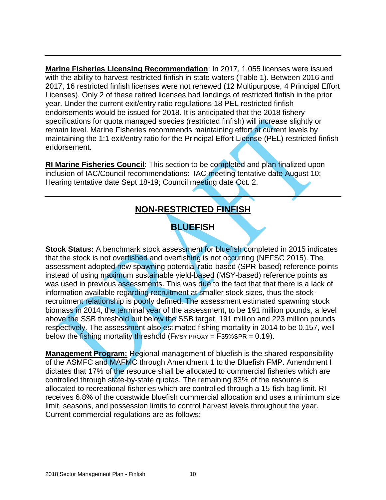**Marine Fisheries Licensing Recommendation**: In 2017, 1,055 licenses were issued with the ability to harvest restricted finfish in state waters (Table 1). Between 2016 and 2017, 16 restricted finfish licenses were not renewed (12 Multipurpose, 4 Principal Effort Licenses). Only 2 of these retired licenses had landings of restricted finfish in the prior year. Under the current exit/entry ratio regulations 18 PEL restricted finfish endorsements would be issued for 2018. It is anticipated that the 2018 fishery specifications for quota managed species (restricted finfish) will increase slightly or remain level. Marine Fisheries recommends maintaining effort at current levels by maintaining the 1:1 exit/entry ratio for the Principal Effort License (PEL) restricted finfish endorsement.

<span id="page-9-0"></span>**RI Marine Fisheries Council**: This section to be completed and plan finalized upon inclusion of IAC/Council recommendations: IAC meeting tentative date August 10; Hearing tentative date Sept 18-19; Council meeting date Oct. 2.

## **NON-RESTRICTED FINFISH**

## **BLUEFISH**

<span id="page-9-1"></span>**Stock Status:** A benchmark stock assessment for bluefish completed in 2015 indicates that the stock is not overfished and overfishing is not occurring (NEFSC 2015). The assessment adopted new spawning potential ratio-based (SPR-based) reference points instead of using maximum sustainable yield-based (MSY-based) reference points as was used in previous assessments. This was due to the fact that that there is a lack of information available regarding recruitment at smaller stock sizes, thus the stockrecruitment relationship is poorly defined. The assessment estimated spawning stock biomass in 2014, the terminal year of the assessment, to be 191 million pounds, a level above the SSB threshold but below the SSB target, 191 million and 223 million pounds respectively. The assessment also estimated fishing mortality in 2014 to be 0.157, well below the fishing mortality threshold (FMSY PROXY =  $F35\%$ SPR = 0.19).

**Management Program:** Regional management of bluefish is the shared responsibility of the ASMFC and MAFMC through Amendment 1 to the Bluefish FMP. Amendment I dictates that 17% of the resource shall be allocated to commercial fisheries which are controlled through state-by-state quotas. The remaining 83% of the resource is allocated to recreational fisheries which are controlled through a 15-fish bag limit. RI receives 6.8% of the coastwide bluefish commercial allocation and uses a minimum size limit, seasons, and possession limits to control harvest levels throughout the year. Current commercial regulations are as follows: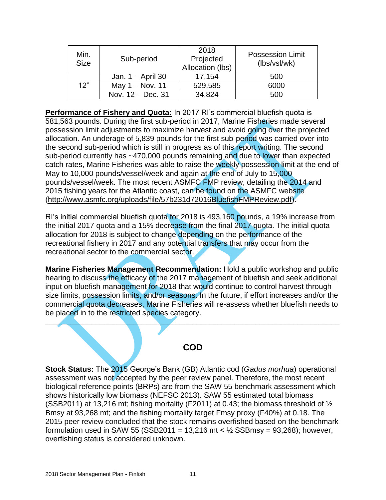| Min.<br><b>Size</b> | Sub-period        | 2018<br>Projected<br>Allocation (lbs) | <b>Possession Limit</b><br>(lbs/vsl/wk) |
|---------------------|-------------------|---------------------------------------|-----------------------------------------|
| 12"                 | Jan. 1 – April 30 | 17,154                                | 500                                     |
|                     | May 1 - Nov. 11   | 529,585                               | 6000                                    |
|                     | Nov. 12 – Dec. 31 | 34,824                                | 500                                     |

**Performance of Fishery and Quota:** In 2017 RI's commercial bluefish quota is 581,563 pounds. During the first sub-period in 2017, Marine Fisheries made several possession limit adjustments to maximize harvest and avoid going over the projected allocation. An underage of 5,839 pounds for the first sub-period was carried over into the second sub-period which is still in progress as of this report writing. The second sub-period currently has ~470,000 pounds remaining and due to lower than expected catch rates, Marine Fisheries was able to raise the weekly possession limit at the end of May to 10,000 pounds/vessel/week and again at the end of July to 15,000 pounds/vessel/week. The most recent ASMFC FMP review, detailing the 2014 and 2015 fishing years for the Atlantic coast, can be found on the ASMFC website [\(http://www.asmfc.org/uploads/file/57b231d72016BluefishFMPReview.pdf\)](http://www.asmfc.org/uploads/file/57b231d72016BluefishFMPReview.pdf).

RI's initial commercial bluefish quota for 2018 is 493,160 pounds, a 19% increase from the initial 2017 quota and a 15% decrease from the final 2017 quota. The initial quota allocation for 2018 is subject to change depending on the performance of the recreational fishery in 2017 and any potential transfers that may occur from the recreational sector to the commercial sector.

**Marine Fisheries Management Recommendation:** Hold a public workshop and public hearing to discuss the efficacy of the 2017 management of bluefish and seek additional input on bluefish management for 2018 that would continue to control harvest through size limits, possession limits, and/or seasons. In the future, if effort increases and/or the commercial quota decreases, Marine Fisheries will re-assess whether bluefish needs to be placed in to the restricted species category.

#### **COD**

<span id="page-10-0"></span>**\_\_\_\_\_\_\_\_\_\_\_\_\_\_\_\_\_\_\_\_\_\_\_\_\_\_\_\_\_\_\_\_\_\_\_\_\_\_\_\_\_\_\_\_\_\_\_\_\_\_\_\_\_\_\_\_\_\_\_\_\_\_\_\_\_\_\_\_\_\_**

**Stock Status:** The 2015 George's Bank (GB) Atlantic cod (*Gadus morhua*) operational assessment was not accepted by the peer review panel. Therefore, the most recent biological reference points (BRPs) are from the SAW 55 benchmark assessment which shows historically low biomass (NEFSC 2013). SAW 55 estimated total biomass (SSB2011) at 13,216 mt; fishing mortality (F2011) at 0.43; the biomass threshold of  $\frac{1}{2}$ Bmsy at 93,268 mt; and the fishing mortality target Fmsy proxy (F40%) at 0.18. The 2015 peer review concluded that the stock remains overfished based on the benchmark formulation used in SAW 55 (SSB2011 = 13,216 mt  $\lt \frac{1}{2}$  SSBmsy = 93,268); however, overfishing status is considered unknown.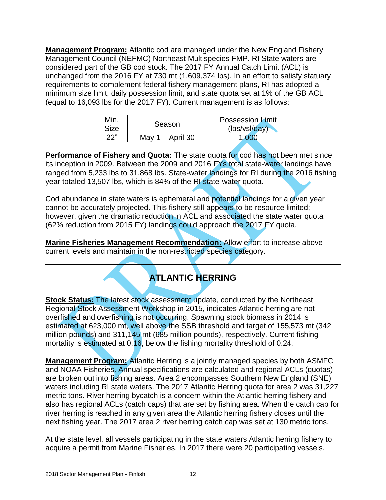**Management Program:** Atlantic cod are managed under the New England Fishery Management Council (NEFMC) Northeast Multispecies FMP. RI State waters are considered part of the GB cod stock. The 2017 FY Annual Catch Limit (ACL) is unchanged from the 2016 FY at 730 mt (1,609,374 lbs). In an effort to satisfy statuary requirements to complement federal fishery management plans, RI has adopted a minimum size limit, daily possession limit, and state quota set at 1% of the GB ACL (equal to 16,093 lbs for the 2017 FY). Current management is as follows:

| Min. | Season             | <b>Possession Limit</b> |
|------|--------------------|-------------------------|
| Size |                    | (lbs/vsl/day)           |
| 22"  | May $1 -$ April 30 | 1.000                   |

**Performance of Fishery and Quota:** The state quota for cod has not been met since its inception in 2009. Between the 2009 and 2016 FYs total state-water landings have ranged from 5,233 lbs to 31,868 lbs. State-water landings for RI during the 2016 fishing year totaled 13,507 lbs, which is 84% of the RI state-water quota.

Cod abundance in state waters is ephemeral and potential landings for a given year cannot be accurately projected. This fishery still appears to be resource limited; however, given the dramatic reduction in ACL and associated the state water quota (62% reduction from 2015 FY) landings could approach the 2017 FY quota.

<span id="page-11-0"></span>**Marine Fisheries Management Recommendation:** Allow effort to increase above current levels and maintain in the non-restricted species category.

# **ATLANTIC HERRING**

**Stock Status:** The latest stock assessment update, conducted by the Northeast Regional Stock Assessment Workshop in 2015, indicates Atlantic herring are not overfished and overfishing is not occurring. Spawning stock biomass in 2014 is estimated at 623,000 mt, well above the SSB threshold and target of 155,573 mt (342 million pounds) and 311,145 mt (685 million pounds), respectively. Current fishing mortality is estimated at 0.16, below the fishing mortality threshold of 0.24.

**Management Program:** Atlantic Herring is a jointly managed species by both ASMFC and NOAA Fisheries. Annual specifications are calculated and regional ACLs (quotas) are broken out into fishing areas. Area 2 encompasses Southern New England (SNE) waters including RI state waters. The 2017 Atlantic Herring quota for area 2 was 31,227 metric tons. River herring bycatch is a concern within the Atlantic herring fishery and also has regional ACLs (catch caps) that are set by fishing area. When the catch cap for river herring is reached in any given area the Atlantic herring fishery closes until the next fishing year. The 2017 area 2 river herring catch cap was set at 130 metric tons.

At the state level, all vessels participating in the state waters Atlantic herring fishery to acquire a permit from Marine Fisheries. In 2017 there were 20 participating vessels.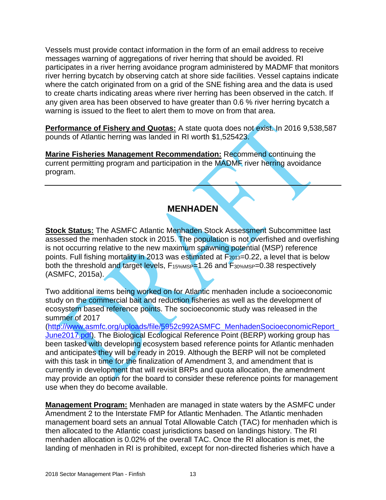Vessels must provide contact information in the form of an email address to receive messages warning of aggregations of river herring that should be avoided. RI participates in a river herring avoidance program administered by MADMF that monitors river herring bycatch by observing catch at shore side facilities. Vessel captains indicate where the catch originated from on a grid of the SNE fishing area and the data is used to create charts indicating areas where river herring has been observed in the catch. If any given area has been observed to have greater than 0.6 % river herring bycatch a warning is issued to the fleet to alert them to move on from that area.

**Performance of Fishery and Quotas:** A state quota does not exist. In 2016 9,538,587 pounds of Atlantic herring was landed in RI worth \$1,525423.

**Marine Fisheries Management Recommendation:** Recommend continuing the current permitting program and participation in the MADMF river herring avoidance program.

#### **MENHADEN**

<span id="page-12-0"></span>**Stock Status:** The ASMFC Atlantic Menhaden Stock Assessment Subcommittee last assessed the menhaden stock in 2015. The population is not overfished and overfishing is not occurring relative to the new maximum spawning potential (MSP) reference points. Full fishing mortality in 2013 was estimated at  $F_{2013}=0.22$ , a level that is below both the threshold and target levels, F<sub>15%MSP</sub>=1.26 and F<sub>30%MSP</sub>=0.38 respectively (ASMFC, 2015a).

Two additional items being worked on for Atlantic menhaden include a socioeconomic study on the commercial bait and reduction fisheries as well as the development of ecosystem based reference points. The socioeconomic study was released in the summer of 2017

[\(http://www.asmfc.org/uploads/file/5952c992ASMFC\\_MenhadenSocioeconomicReport\\_](http://www.asmfc.org/uploads/file/5952c992ASMFC_MenhadenSocioeconomicReport_June2017.pdf) [June2017.pdf\)](http://www.asmfc.org/uploads/file/5952c992ASMFC_MenhadenSocioeconomicReport_June2017.pdf). The Biological Ecological Reference Point (BERP) working group has been tasked with developing ecosystem based reference points for Atlantic menhaden and anticipates they will be ready in 2019. Although the BERP will not be completed with this task in time for the finalization of Amendment 3, and amendment that is currently in development that will revisit BRPs and quota allocation, the amendment may provide an option for the board to consider these reference points for management use when they do become available.

**Management Program:** Menhaden are managed in state waters by the ASMFC under Amendment 2 to the Interstate FMP for Atlantic Menhaden. The Atlantic menhaden management board sets an annual Total Allowable Catch (TAC) for menhaden which is then allocated to the Atlantic coast jurisdictions based on landings history. The RI menhaden allocation is 0.02% of the overall TAC. Once the RI allocation is met, the landing of menhaden in RI is prohibited, except for non-directed fisheries which have a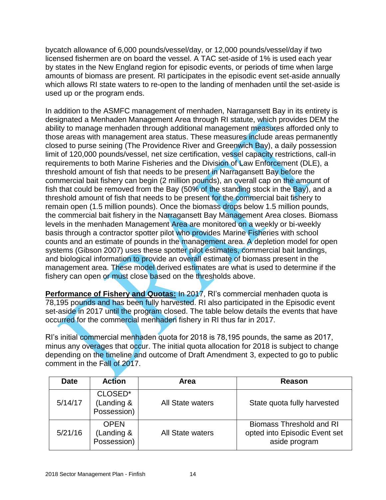bycatch allowance of 6,000 pounds/vessel/day, or 12,000 pounds/vessel/day if two licensed fishermen are on board the vessel. A TAC set-aside of 1% is used each year by states in the New England region for episodic events, or periods of time when large amounts of biomass are present. RI participates in the episodic event set-aside annually which allows RI state waters to re-open to the landing of menhaden until the set-aside is used up or the program ends.

In addition to the ASMFC management of menhaden, Narragansett Bay in its entirety is designated a Menhaden Management Area through RI statute, which provides DEM the ability to manage menhaden through additional management measures afforded only to those areas with management area status. These measures include areas permanently closed to purse seining (The Providence River and Greenwich Bay), a daily possession limit of 120,000 pounds/vessel, net size certification, vessel capacity restrictions, call-in requirements to both Marine Fisheries and the Division of Law Enforcement (DLE), a threshold amount of fish that needs to be present in Narragansett Bay before the commercial bait fishery can begin (2 million pounds), an overall cap on the amount of fish that could be removed from the Bay (50% of the standing stock in the Bay), and a threshold amount of fish that needs to be present for the commercial bait fishery to remain open (1.5 million pounds). Once the biomass drops below 1.5 million pounds, the commercial bait fishery in the Narragansett Bay Management Area closes. Biomass levels in the menhaden Management Area are monitored on a weekly or bi-weekly basis through a contractor spotter pilot who provides Marine Fisheries with school counts and an estimate of pounds in the management area. A depletion model for open systems (Gibson 2007) uses these spotter pilot estimates, commercial bait landings, and biological information to provide an overall estimate of biomass present in the management area. These model derived estimates are what is used to determine if the fishery can open or must close based on the thresholds above.

**Performance of Fishery and Quotas:** In 2017, RI's commercial menhaden quota is 78,195 pounds and has been fully harvested. RI also participated in the Episodic event set-aside in 2017 until the program closed. The table below details the events that have occurred for the commercial menhaden fishery in RI thus far in 2017.

RI's initial commercial menhaden quota for 2018 is 78,195 pounds, the same as 2017, minus any overages that occur. The initial quota allocation for 2018 is subject to change depending on the timeline and outcome of Draft Amendment 3, expected to go to public comment in the Fall of 2017.

| <b>Date</b> | <b>Action</b>                            | Area                    | Reason                                                                            |
|-------------|------------------------------------------|-------------------------|-----------------------------------------------------------------------------------|
| 5/14/17     | CLOSED*<br>(Landing &<br>Possession)     | <b>All State waters</b> | State quota fully harvested                                                       |
| 5/21/16     | <b>OPEN</b><br>(Landing &<br>Possession) | <b>All State waters</b> | <b>Biomass Threshold and RI</b><br>opted into Episodic Event set<br>aside program |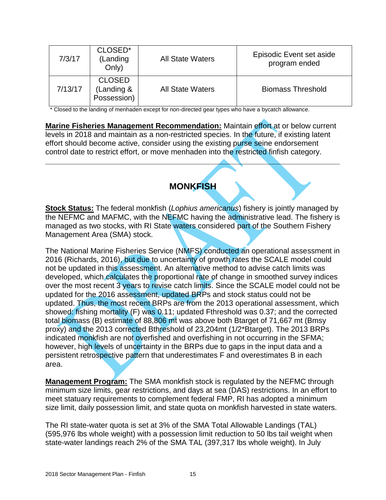| 7/3/17  | CLOSED*<br>(Landing<br>Only)               | <b>All State Waters</b> | Episodic Event set aside<br>program ended |
|---------|--------------------------------------------|-------------------------|-------------------------------------------|
| 7/13/17 | <b>CLOSED</b><br>(Landing &<br>Possession) | <b>All State Waters</b> | <b>Biomass Threshold</b>                  |

\* Closed to the landing of menhaden except for non-directed gear types who have a bycatch allowance.

**Marine Fisheries Management Recommendation:** Maintain effort at or below current levels in 2018 and maintain as a non-restricted species. In the future, if existing latent effort should become active, consider using the existing purse seine endorsement control date to restrict effort, or move menhaden into the restricted finfish category.

<span id="page-14-0"></span>**\_\_\_\_\_\_\_\_\_\_\_\_\_\_\_\_\_\_\_\_\_\_\_\_\_\_\_\_\_\_\_\_\_\_\_\_\_\_\_\_\_\_\_\_\_\_\_\_\_\_\_\_\_\_\_\_\_\_\_\_\_\_\_\_\_\_\_\_\_\_**

## **MONKFISH**

**Stock Status:** The federal monkfish (*Lophius americanus*) fishery is jointly managed by the NEFMC and MAFMC, with the NEFMC having the administrative lead. The fishery is managed as two stocks, with RI State waters considered part of the Southern Fishery Management Area (SMA) stock.

The National Marine Fisheries Service (NMFS) conducted an operational assessment in 2016 (Richards, 2016), but due to uncertainty of growth rates the SCALE model could not be updated in this assessment. An alternative method to advise catch limits was developed, which calculates the proportional rate of change in smoothed survey indices over the most recent 3 years to revise catch limits. Since the SCALE model could not be updated for the 2016 assessment, updated BRPs and stock status could not be updated. Thus, the most recent BRPs are from the 2013 operational assessment, which showed: fishing mortality (F) was 0.11; updated Fthreshold was 0.37; and the corrected total biomass (B) estimate of 88,806 mt was above both Btarget of 71,667 mt (Bmsy proxy) and the 2013 corrected Bthreshold of 23,204mt (1/2\*Btarget). The 2013 BRPs indicated monkfish are not overfished and overfishing in not occurring in the SFMA; however, high levels of uncertainty in the BRPs due to gaps in the input data and a persistent retrospective pattern that underestimates F and overestimates B in each area.

**Management Program:** The SMA monkfish stock is regulated by the NEFMC through minimum size limits, gear restrictions, and days at sea (DAS) restrictions. In an effort to meet statuary requirements to complement federal FMP, RI has adopted a minimum size limit, daily possession limit, and state quota on monkfish harvested in state waters.

The RI state-water quota is set at 3% of the SMA Total Allowable Landings (TAL) (595,976 lbs whole weight) with a possession limit reduction to 50 lbs tail weight when state-water landings reach 2% of the SMA TAL (397,317 lbs whole weight). In July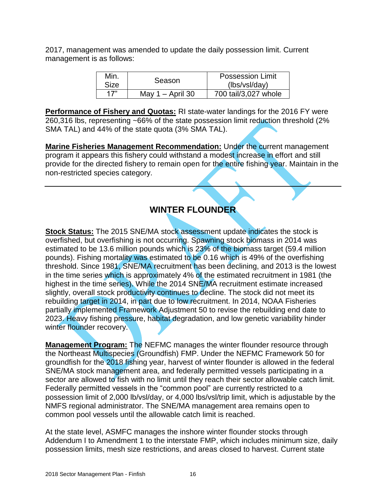2017, management was amended to update the daily possession limit. Current management is as follows:

| Min.<br>Size | Season             | <b>Possession Limit</b><br>(lbs/vsl/day) |
|--------------|--------------------|------------------------------------------|
| 17"          | May $1 -$ April 30 | 700 tail/3,027 whole                     |

**Performance of Fishery and Quotas:** RI state-water landings for the 2016 FY were 260,316 lbs, representing ~66% of the state possession limit reduction threshold (2% SMA TAL) and 44% of the state quota (3% SMA TAL).

**Marine Fisheries Management Recommendation:** Under the current management program it appears this fishery could withstand a modest increase in effort and still provide for the directed fishery to remain open for the entire fishing year. Maintain in the non-restricted species category.

### **WINTER FLOUNDER**

<span id="page-15-0"></span>**Stock Status:** The 2015 SNE/MA stock assessment update indicates the stock is overfished, but overfishing is not occurring. Spawning stock biomass in 2014 was estimated to be 13.6 million pounds which is 23% of the biomass target (59.4 million pounds). Fishing mortality was estimated to be 0.16 which is 49% of the overfishing threshold. Since 1981, SNE/MA recruitment has been declining, and 2013 is the lowest in the time series which is approximately 4% of the estimated recruitment in 1981 (the highest in the time series). While the 2014 SNE/MA recruitment estimate increased slightly, overall stock productivity continues to decline. The stock did not meet its rebuilding target in 2014, in part due to low recruitment. In 2014, NOAA Fisheries partially implemented Framework Adjustment 50 to revise the rebuilding end date to 2023. Heavy fishing pressure, habitat degradation, and low genetic variability hinder winter flounder recovery.

**Management Program:** The NEFMC manages the winter flounder resource through the Northeast Multispecies (Groundfish) FMP. Under the NEFMC Framework 50 for groundfish for the 2018 fishing year, harvest of winter flounder is allowed in the federal SNE/MA stock management area, and federally permitted vessels participating in a sector are allowed to fish with no limit until they reach their sector allowable catch limit. Federally permitted vessels in the "common pool" are currently restricted to a possession limit of 2,000 lb/vsl/day, or 4,000 lbs/vsl/trip limit, which is adjustable by the NMFS regional administrator. The SNE/MA management area remains open to common pool vessels until the allowable catch limit is reached.

At the state level, ASMFC manages the inshore winter flounder stocks through Addendum I to Amendment 1 to the interstate FMP, which includes minimum size, daily possession limits, mesh size restrictions, and areas closed to harvest. Current state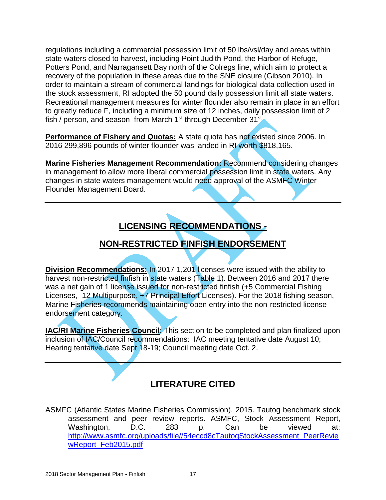regulations including a commercial possession limit of 50 lbs/vsl/day and areas within state waters closed to harvest, including Point Judith Pond, the Harbor of Refuge, Potters Pond, and Narragansett Bay north of the Colregs line, which aim to protect a recovery of the population in these areas due to the SNE closure (Gibson 2010). In order to maintain a stream of commercial landings for biological data collection used in the stock assessment, RI adopted the 50 pound daily possession limit all state waters. Recreational management measures for winter flounder also remain in place in an effort to greatly reduce F, including a minimum size of 12 inches, daily possession limit of 2 fish / person, and season from March 1<sup>st</sup> through December 31<sup>st</sup>

**Performance of Fishery and Quotas:** A state quota has not existed since 2006. In 2016 299,896 pounds of winter flounder was landed in RI worth \$818,165.

**Marine Fisheries Management Recommendation:** Recommend considering changes in management to allow more liberal commercial possession limit in state waters. Any changes in state waters management would need approval of the ASMFC Winter Flounder Management Board.

# **LICENSING RECOMMENDATIONS -**

## **NON-RESTRICTED FINFISH ENDORSEMENT**

<span id="page-16-1"></span><span id="page-16-0"></span>**Division Recommendations:** In 2017 1,201 licenses were issued with the ability to harvest non-restricted finfish in state waters (Table 1). Between 2016 and 2017 there was a net gain of 1 license issued for non-restricted finfish (+5 Commercial Fishing Licenses, -12 Multipurpose, +7 Principal Effort Licenses). For the 2018 fishing season, Marine Fisheries recommends maintaining open entry into the non-restricted license endorsement category.

**IAC/RI Marine Fisheries Council:** This section to be completed and plan finalized upon inclusion of IAC/Council recommendations: IAC meeting tentative date August 10; Hearing tentative date Sept 18-19; Council meeting date Oct. 2.

## **LITERATURE CITED**

<span id="page-16-2"></span>ASMFC (Atlantic States Marine Fisheries Commission). 2015. Tautog benchmark stock assessment and peer review reports. ASMFC, Stock Assessment Report, Washington, D.C. 283 p. Can be viewed at: [http://www.asmfc.org/uploads/file//54eccd8cTautogStockAssessment\\_PeerRevie](http://www.asmfc.org/uploads/file/54eccd8cTautogStockAssessment_PeerReviewReport_Feb2015.pdf) [wReport\\_Feb2015.pdf](http://www.asmfc.org/uploads/file/54eccd8cTautogStockAssessment_PeerReviewReport_Feb2015.pdf)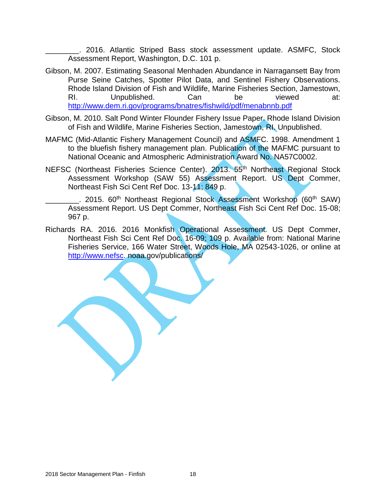\_\_\_\_\_\_\_\_. 2016. Atlantic Striped Bass stock assessment update. ASMFC, Stock Assessment Report, Washington, D.C. 101 p.

- Gibson, M. 2007. Estimating Seasonal Menhaden Abundance in Narragansett Bay from Purse Seine Catches, Spotter Pilot Data, and Sentinel Fishery Observations. Rhode Island Division of Fish and Wildlife, Marine Fisheries Section, Jamestown, RI. Unpublished. Can be viewed at: <http://www.dem.ri.gov/programs/bnatres/fishwild/pdf/menabnnb.pdf>
- Gibson, M. 2010. Salt Pond Winter Flounder Fishery Issue Paper. Rhode Island Division of Fish and Wildlife, Marine Fisheries Section, Jamestown, RI. Unpublished.
- MAFMC (Mid-Atlantic Fishery Management Council) and ASMFC. 1998. Amendment 1 to the bluefish fishery management plan. Publication of the MAFMC pursuant to National Oceanic and Atmospheric Administration Award No. NA57C0002.
- NEFSC (Northeast Fisheries Science Center). 2013. 55<sup>th</sup> Northeast Regional Stock Assessment Workshop (SAW 55) Assessment Report. US Dept Commer, Northeast Fish Sci Cent Ref Doc. 13-11; 849 p.
	- . 2015. 60<sup>th</sup> Northeast Regional Stock Assessment Workshop (60<sup>th</sup> SAW) Assessment Report. US Dept Commer, Northeast Fish Sci Cent Ref Doc. 15-08; 967 p.
- Richards RA. 2016. 2016 Monkfish Operational Assessment. US Dept Commer, Northeast Fish Sci Cent Ref Doc. 16-09; 109 p. Available from: National Marine Fisheries Service, 166 Water Street, Woods Hole, MA 02543-1026, or online at [http://www.nefsc.](http://www.nefsc/) noaa.gov/publications/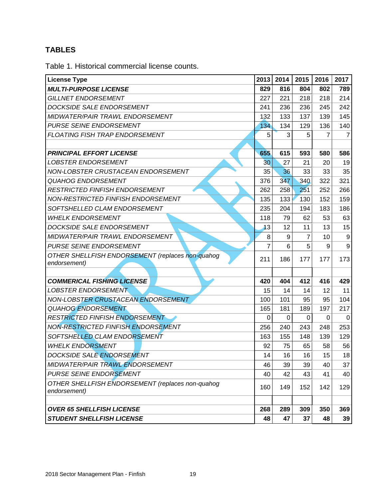#### <span id="page-18-0"></span>**TABLES**

<span id="page-18-1"></span>Table 1. Historical commercial license counts.

| <b>License Type</b>                                              | 2013           | 2014 | 2015     | 2016 | 2017           |
|------------------------------------------------------------------|----------------|------|----------|------|----------------|
| <b>MULTI-PURPOSE LICENSE</b>                                     | 829            | 816  | 804      | 802  | 789            |
| <b>GILLNET ENDORSEMENT</b>                                       | 227            | 221  | 218      | 218  | 214            |
| DOCKSIDE SALE ENDORSEMENT                                        | 241            | 236  | 236      | 245  | 242            |
| <b>MIDWATER/PAIR TRAWL ENDORSEMENT</b>                           | 132            | 133  | 137      | 139  | 145            |
| PURSE SEINE ENDORSEMENT                                          | 134            | 134  | 129      | 136  | 140            |
| FLOATING FISH TRAP ENDORSEMENT                                   | 5              | 3    | 5        | 7    | $\overline{7}$ |
|                                                                  |                |      |          |      |                |
| <b>PRINCIPAL EFFORT LICENSE</b>                                  | 655            | 615  | 593      | 580  | 586            |
| <b>LOBSTER ENDORSEMENT</b>                                       | 30             | 27   | 21       | 20   | 19             |
| NON-LOBSTER CRUSTACEAN ENDORSEMENT                               | 35             | 36   | 33       | 33   | 35             |
| <b>QUAHOG ENDORSEMENT</b>                                        | 376            | 347  | 340      | 322  | 321            |
| RESTRICTED FINFISH ENDORSEMENT                                   | 262            | 258  | 251      | 252  | 266            |
| NON-RESTRICTED FINFISH ENDORSEMENT                               | 135            | 133  | 130      | 152  | 159            |
| SOFTSHELLED CLAM ENDORSEMENT                                     | 235            | 204  | 194      | 183  | 186            |
| <b>WHELK ENDORSEMENT</b>                                         | 118            | 79   | 62       | 53   | 63             |
| DOCKSIDE SALE ENDORSEMENT                                        | 13             | 12   | 11       | 13   | 15             |
| MIDWATER/PAIR TRAWL ENDORSEMENT                                  | 8              | 9    | 7        | 10   | 9              |
| <b>PURSE SEINE ENDORSEMENT</b>                                   | $\overline{7}$ | 6    | 5        | 9    | 9              |
| OTHER SHELLFISH ENDORSEMENT (replaces non-quahog<br>endorsement) | 211            | 186  | 177      | 177  | 173            |
|                                                                  |                |      |          |      |                |
| <b>COMMERICAL FISHING LICENSE</b>                                | 420            | 404  | 412      | 416  | 429            |
| <b>LOBSTER ENDORSEMENT</b>                                       | 15             | 14   | 14       | 12   | 11             |
| NON-LOBSTER CRUSTACEAN ENDORSEMENT                               | 100            | 101  | 95       | 95   | 104            |
| <b>QUAHOG ENDORSEMENT</b>                                        | 165            | 181  | 189      | 197  | 217            |
| <b>RESTRICTED FINFISH ENDORSEMENT</b>                            | 0              | 0    | $\Omega$ | 0    | 0              |
| NON-RESTRICTED FINFISH ENDORSEMENT                               | 256            | 240  | 243      | 248  | 253            |
| SOFTSHELLED CLAM ENDORSEMENT                                     | 163            | 155  | 148      | 139  | 129            |
| <b>WHELK ENDORSMENT</b>                                          | 92             | 75   | 65       | 58   | 56             |
| DOCKSIDE SALE ENDORSEMENT                                        | 14             | 16   | 16       | 15   | 18             |
| MIDWATER/PAIR TRAWL ENDORSEMENT                                  | 46             | 39   | 39       | 40   | 37             |
| PURSE SEINE ENDORSEMENT                                          | 40             | 42   | 43       | 41   | 40             |
| OTHER SHELLFISH ENDORSEMENT (replaces non-quahog<br>endorsement) | 160            | 149  | 152      | 142  | 129            |
|                                                                  |                |      |          |      |                |
| <b>OVER 65 SHELLFISH LICENSE</b>                                 | 268            | 289  | 309      | 350  | 369            |
| <b>STUDENT SHELLFISH LICENSE</b>                                 | 48             | 47   | 37       | 48   | 39             |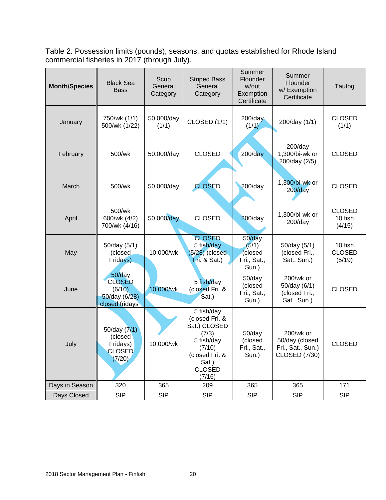<span id="page-19-0"></span>Table 2. Possession limits (pounds), seasons, and quotas established for Rhode Island commercial fisheries in 2017 (through July).

| <b>Month/Species</b> | <b>Black Sea</b><br><b>Bass</b>                                         | Scup<br>General<br>Category | <b>Striped Bass</b><br>General<br>Category                                                                                          | Summer<br>Flounder<br>w/out<br>Exemption<br>Certificate | Summer<br>Flounder<br>w/ Exemption<br>Certificate                        | Tautog                             |
|----------------------|-------------------------------------------------------------------------|-----------------------------|-------------------------------------------------------------------------------------------------------------------------------------|---------------------------------------------------------|--------------------------------------------------------------------------|------------------------------------|
| January              | 750/wk (1/1)<br>500/wk (1/22)                                           | 50,000/day<br>(1/1)         | CLOSED (1/1)                                                                                                                        | $200$ /day<br>(1/1)                                     | 200/day (1/1)                                                            | <b>CLOSED</b><br>(1/1)             |
| February             | 500/wk                                                                  | 50,000/day                  | <b>CLOSED</b>                                                                                                                       | $200$ /day                                              | $200$ /day<br>1,300/bi-wk or<br>200/day (2/5)                            | <b>CLOSED</b>                      |
| March                | 500/wk                                                                  | 50,000/day                  | <b>CLOSED</b>                                                                                                                       | $200$ /day                                              | 1,300/bi-wk or<br>$200$ /day                                             | <b>CLOSED</b>                      |
| April                | 500/wk<br>600/wk (4/2)<br>700/wk (4/16)                                 | 50,000/day                  | <b>CLOSED</b>                                                                                                                       | $200$ /day                                              | 1,300/bi-wk or<br>$200$ /day                                             | <b>CLOSED</b><br>10 fish<br>(4/15) |
| May                  | 50/day (5/1)<br>(closed<br>Fridays)                                     | 10,000/wk                   | <b>CLOSED</b><br>5 fish/day<br>$(5/28)$ (closed<br>Fit. 8 Sat.)                                                                     | 50/day<br>(5/1)<br>(closed<br>Fri., Sat.,<br>Sun.)      | 50/day (5/1)<br>(closed Fri.,<br>Sat., Sun.)                             | 10 fish<br><b>CLOSED</b><br>(5/19) |
| June                 | 50/day<br><b>CLOSED</b><br>(6/10)<br>$50$ /day (6/28)<br>closed fridays | 10,000/wk                   | 5 fish/day<br>(closed Fri. &<br>Sat.)                                                                                               | 50/day<br>(closed<br>Fri., Sat.,<br>Sun.)               | 200/wk or<br>50/day (6/1)<br>(closed Fri.,<br>Sat., Sun.)                | <b>CLOSED</b>                      |
| July                 | 50/day $(7/1)$<br>(closed<br>Fridays)<br><b>CLOSED</b><br>(7/20)        | 10,000/wk                   | 5 fish/day<br>(closed Fri. &<br>Sat.) CLOSED<br>(7/3)<br>5 fish/day<br>(7/10)<br>(closed Fri. &<br>Sat.)<br><b>CLOSED</b><br>(7/16) | $50$ /day<br>(closed<br>Fri., Sat.,<br>Sun.)            | 200/wk or<br>50/day (closed<br>Fri., Sat., Sun.)<br><b>CLOSED (7/30)</b> | <b>CLOSED</b>                      |
| Days in Season       | 320                                                                     | 365                         | 209                                                                                                                                 | 365                                                     | 365                                                                      | 171                                |
| Days Closed          | <b>SIP</b>                                                              | <b>SIP</b>                  | <b>SIP</b>                                                                                                                          | <b>SIP</b>                                              | <b>SIP</b>                                                               | <b>SIP</b>                         |